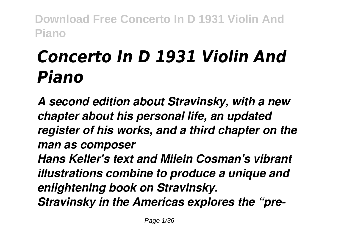# *Concerto In D 1931 Violin And Piano*

*A second edition about Stravinsky, with a new chapter about his personal life, an updated register of his works, and a third chapter on the man as composer Hans Keller's text and Milein Cosman's vibrant illustrations combine to produce a unique and enlightening book on Stravinsky. Stravinsky in the Americas explores the "pre-*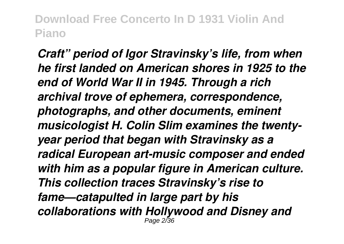*Craft" period of Igor Stravinsky's life, from when he first landed on American shores in 1925 to the end of World War II in 1945. Through a rich archival trove of ephemera, correspondence, photographs, and other documents, eminent musicologist H. Colin Slim examines the twentyyear period that began with Stravinsky as a radical European art-music composer and ended with him as a popular figure in American culture. This collection traces Stravinsky's rise to fame—catapulted in large part by his collaborations with Hollywood and Disney and* Page 2/36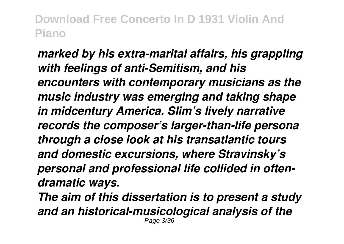*marked by his extra-marital affairs, his grappling with feelings of anti-Semitism, and his encounters with contemporary musicians as the music industry was emerging and taking shape in midcentury America. Slim's lively narrative records the composer's larger-than-life persona through a close look at his transatlantic tours and domestic excursions, where Stravinsky's personal and professional life collided in oftendramatic ways. The aim of this dissertation is to present a study and an historical-musicological analysis of the* Page 3/36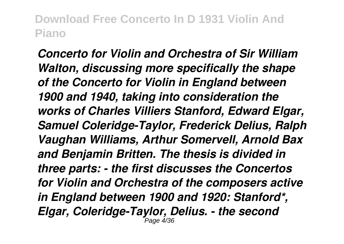*Concerto for Violin and Orchestra of Sir William Walton, discussing more specifically the shape of the Concerto for Violin in England between 1900 and 1940, taking into consideration the works of Charles Villiers Stanford, Edward Elgar, Samuel Coleridge-Taylor, Frederick Delius, Ralph Vaughan Williams, Arthur Somervell, Arnold Bax and Benjamin Britten. The thesis is divided in three parts: - the first discusses the Concertos for Violin and Orchestra of the composers active in England between 1900 and 1920: Stanford\*, Elgar, Coleridge-Taylor, Delius. - the second* Page 4/36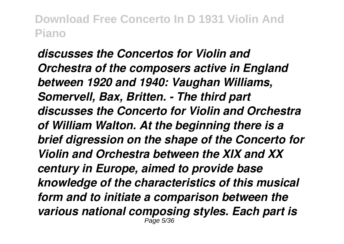*discusses the Concertos for Violin and Orchestra of the composers active in England between 1920 and 1940: Vaughan Williams, Somervell, Bax, Britten. - The third part discusses the Concerto for Violin and Orchestra of William Walton. At the beginning there is a brief digression on the shape of the Concerto for Violin and Orchestra between the XIX and XX century in Europe, aimed to provide base knowledge of the characteristics of this musical form and to initiate a comparison between the various national composing styles. Each part is* Page 5/36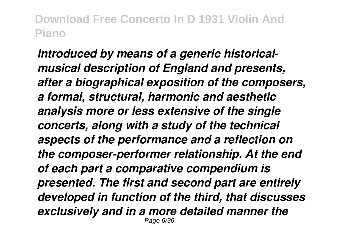*introduced by means of a generic historicalmusical description of England and presents, after a biographical exposition of the composers, a formal, structural, harmonic and aesthetic analysis more or less extensive of the single concerts, along with a study of the technical aspects of the performance and a reflection on the composer-performer relationship. At the end of each part a comparative compendium is presented. The first and second part are entirely developed in function of the third, that discusses exclusively and in a more detailed manner the* Page 6/36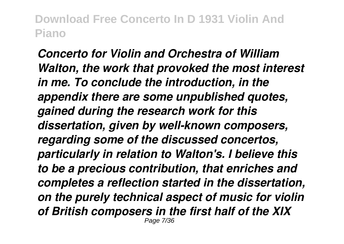*Concerto for Violin and Orchestra of William Walton, the work that provoked the most interest in me. To conclude the introduction, in the appendix there are some unpublished quotes, gained during the research work for this dissertation, given by well-known composers, regarding some of the discussed concertos, particularly in relation to Walton's. I believe this to be a precious contribution, that enriches and completes a reflection started in the dissertation, on the purely technical aspect of music for violin of British composers in the first half of the XIX* Page 7/36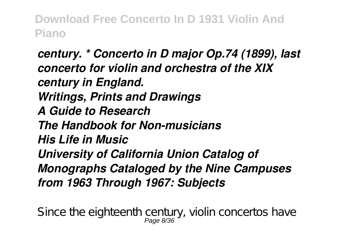*century. \* Concerto in D major Op.74 (1899), last concerto for violin and orchestra of the XIX century in England. Writings, Prints and Drawings A Guide to Research The Handbook for Non-musicians His Life in Music University of California Union Catalog of Monographs Cataloged by the Nine Campuses from 1963 Through 1967: Subjects*

Since the eighteenth century, violin concertos have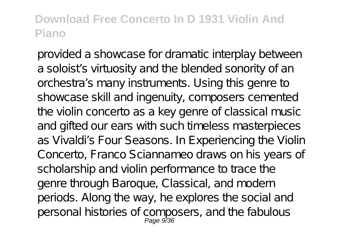provided a showcase for dramatic interplay between a soloist's virtuosity and the blended sonority of an orchestra's many instruments. Using this genre to showcase skill and ingenuity, composers cemented the violin concerto as a key genre of classical music and gifted our ears with such timeless masterpieces as Vivaldi's Four Seasons. In Experiencing the Violin Concerto, Franco Sciannameo draws on his years of scholarship and violin performance to trace the genre through Baroque, Classical, and modern periods. Along the way, he explores the social and personal histories of composers, and the fabulous Page 9/36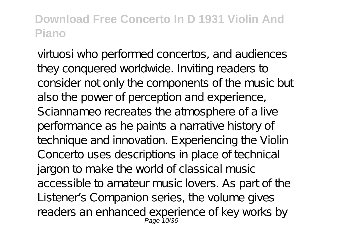virtuosi who performed concertos, and audiences they conquered worldwide. Inviting readers to consider not only the components of the music but also the power of perception and experience, Sciannameo recreates the atmosphere of a live performance as he paints a narrative history of technique and innovation. Experiencing the Violin Concerto uses descriptions in place of technical jargon to make the world of classical music accessible to amateur music lovers. As part of the Listener's Companion series, the volume gives readers an enhanced experience of key works by<br>Page 10/36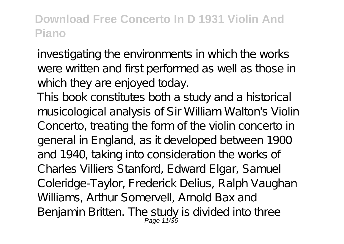investigating the environments in which the works were written and first performed as well as those in which they are enjoyed today.

This book constitutes both a study and a historical musicological analysis of Sir William Walton's Violin Concerto, treating the form of the violin concerto in general in England, as it developed between 1900 and 1940, taking into consideration the works of Charles Villiers Stanford, Edward Elgar, Samuel Coleridge-Taylor, Frederick Delius, Ralph Vaughan Williams, Arthur Somervell, Arnold Bax and Benjamin Britten. The study is divided into three<br>Page 11/36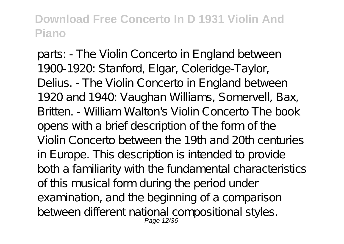parts: - The Violin Concerto in England between 1900-1920: Stanford, Elgar, Coleridge-Taylor, Delius. - The Violin Concerto in England between 1920 and 1940: Vaughan Williams, Somervell, Bax, Britten. - William Walton's Violin Concerto The book opens with a brief description of the form of the Violin Concerto between the 19th and 20th centuries in Europe. This description is intended to provide both a familiarity with the fundamental characteristics of this musical form during the period under examination, and the beginning of a comparison between different national compositional styles.<br>Page 12/36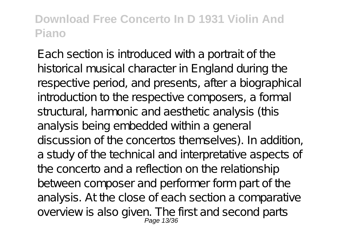Each section is introduced with a portrait of the historical musical character in England during the respective period, and presents, after a biographical introduction to the respective composers, a formal structural, harmonic and aesthetic analysis (this analysis being embedded within a general discussion of the concertos themselves). In addition, a study of the technical and interpretative aspects of the concerto and a reflection on the relationship between composer and performer form part of the analysis. At the close of each section a comparative overview is also given. The first and second parts<br>Page 13/36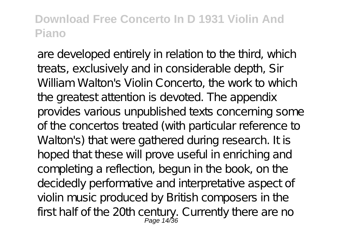are developed entirely in relation to the third, which treats, exclusively and in considerable depth, Sir William Walton's Violin Concerto, the work to which the greatest attention is devoted. The appendix provides various unpublished texts concerning some of the concertos treated (with particular reference to Walton's) that were gathered during research. It is hoped that these will prove useful in enriching and completing a reflection, begun in the book, on the decidedly performative and interpretative aspect of violin music produced by British composers in the first half of the 20th century. Currently there are no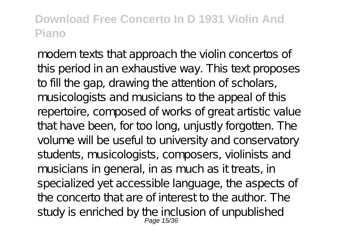modern texts that approach the violin concertos of this period in an exhaustive way. This text proposes to fill the gap, drawing the attention of scholars, musicologists and musicians to the appeal of this repertoire, composed of works of great artistic value that have been, for too long, unjustly forgotten. The volume will be useful to university and conservatory students, musicologists, composers, violinists and musicians in general, in as much as it treats, in specialized yet accessible language, the aspects of the concerto that are of interest to the author. The study is enriched by the inclusion of unpublished<br>Page 15/36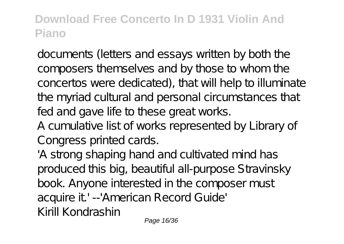documents (letters and essays written by both the composers themselves and by those to whom the concertos were dedicated), that will help to illuminate the myriad cultural and personal circumstances that fed and gave life to these great works.

A cumulative list of works represented by Library of Congress printed cards.

'A strong shaping hand and cultivated mind has produced this big, beautiful all-purpose Stravinsky book. Anyone interested in the composer must acquire it' --'American Record Guide' Kirill Kondrashin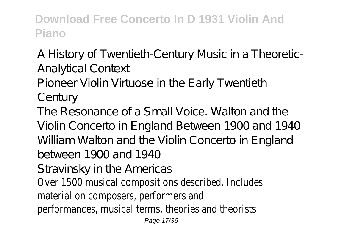A History of Twentieth-Century Music in a Theoretic-Analytical Context

Pioneer Violin Virtuose in the Early Twentieth

Century

The Resonance of a Small Voice. Walton and the Violin Concerto in England Between 1900 and 1940 William Walton and the Violin Concerto in England between 1900 and 1940 Stravinsky in the Americas

Over 1500 musical compositions described. Includes material on composers, performers and performances, musical terms, theories and theorists

Page 17/36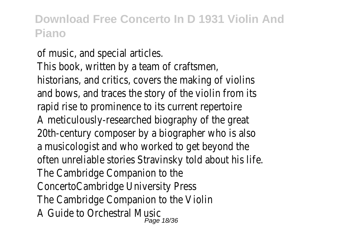of music, and special articles. This book, written by a team of craftsmen, historians, and critics, covers the making of violins and bows, and traces the story of the violin from its rapid rise to prominence to its current repertoire A meticulously-researched biography of the great 20th-century composer by a biographer who is also a musicologist and who worked to get beyond the often unreliable stories Stravinsky told about his life. The Cambridge Companion to the ConcertoCambridge University Press The Cambridge Companion to the Violin A Guide to Orchestral Music Page 18/36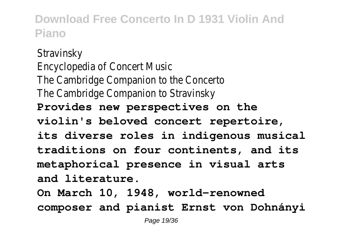**Stravinsky** Encyclopedia of Concert Music The Cambridge Companion to the Concerto The Cambridge Companion to Stravinsky **Provides new perspectives on the violin's beloved concert repertoire, its diverse roles in indigenous musical traditions on four continents, and its metaphorical presence in visual arts and literature.**

**On March 10, 1948, world-renowned composer and pianist Ernst von Dohnányi**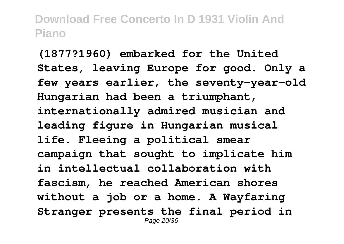**(1877?1960) embarked for the United States, leaving Europe for good. Only a few years earlier, the seventy-year-old Hungarian had been a triumphant, internationally admired musician and leading figure in Hungarian musical life. Fleeing a political smear campaign that sought to implicate him in intellectual collaboration with fascism, he reached American shores without a job or a home. A Wayfaring Stranger presents the final period in** Page 20/36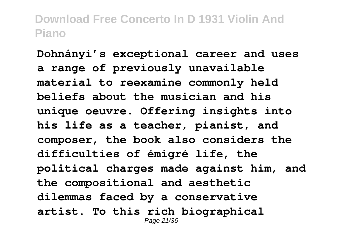**Dohnányi's exceptional career and uses a range of previously unavailable material to reexamine commonly held beliefs about the musician and his unique oeuvre. Offering insights into his life as a teacher, pianist, and composer, the book also considers the difficulties of émigré life, the political charges made against him, and the compositional and aesthetic dilemmas faced by a conservative artist. To this rich biographical** Page 21/36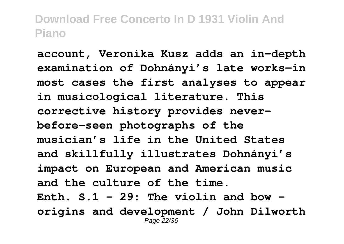**account, Veronika Kusz adds an in-depth examination of Dohnányi's late works—in most cases the first analyses to appear in musicological literature. This corrective history provides neverbefore-seen photographs of the musician's life in the United States and skillfully illustrates Dohnányi's impact on European and American music and the culture of the time. Enth. S.1 - 29: The violin and bow origins and development / John Dilworth** Page 22/36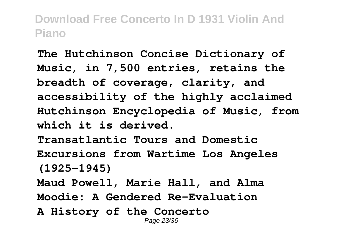**The Hutchinson Concise Dictionary of Music, in 7,500 entries, retains the breadth of coverage, clarity, and accessibility of the highly acclaimed Hutchinson Encyclopedia of Music, from which it is derived. Transatlantic Tours and Domestic Excursions from Wartime Los Angeles (1925-1945) Maud Powell, Marie Hall, and Alma Moodie: A Gendered Re-Evaluation A History of the Concerto** Page 23/36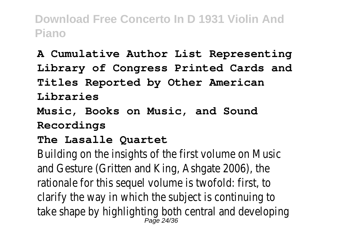**A Cumulative Author List Representing Library of Congress Printed Cards and Titles Reported by Other American Libraries Music, Books on Music, and Sound**

**Recordings**

**The Lasalle Quartet**

Building on the insights of the first volume on Music and Gesture (Gritten and King, Ashgate 2006), the rationale for this sequel volume is twofold: first, to clarify the way in which the subject is continuing to take shape by highlighting both central and developing Page 24/36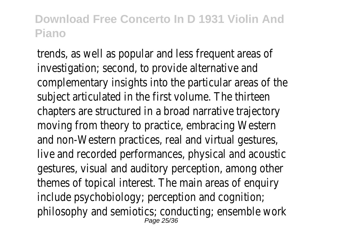trends, as well as popular and less frequent areas of investigation; second, to provide alternative and complementary insights into the particular areas of the subject articulated in the first volume. The thirteen chapters are structured in a broad narrative trajectory moving from theory to practice, embracing Western and non-Western practices, real and virtual gestures, live and recorded performances, physical and acoustic gestures, visual and auditory perception, among other themes of topical interest. The main areas of enquiry include psychobiology; perception and cognition; philosophy and semiotics; conducting; ensemble work Page 25/36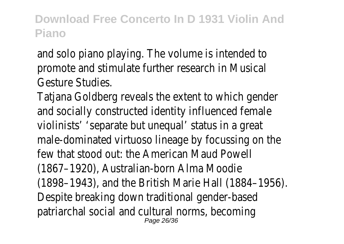and solo piano playing. The volume is intended to promote and stimulate further research in Musical Gesture Studies.

Tatjana Goldberg reveals the extent to which gender and socially constructed identity influenced female violinists' 'separate but unequal' status in a great male-dominated virtuoso lineage by focussing on the few that stood out: the American Maud Powell (1867–1920), Australian-born Alma Moodie (1898–1943), and the British Marie Hall (1884–1956). Despite breaking down traditional gender-based patriarchal social and cultural norms, becoming Page 26/36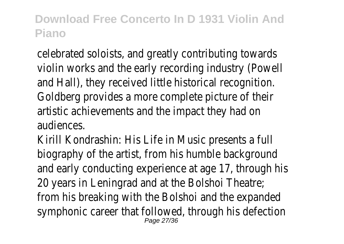celebrated soloists, and greatly contributing towards violin works and the early recording industry (Powell and Hall), they received little historical recognition. Goldberg provides a more complete picture of their artistic achievements and the impact they had on audiences.

Kirill Kondrashin: His Life in Music presents a full biography of the artist, from his humble background and early conducting experience at age 17, through his 20 years in Leningrad and at the Bolshoi Theatre; from his breaking with the Bolshoi and the expanded symphonic career that followed, through his defection Page 27/36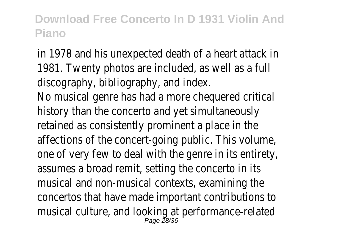in 1978 and his unexpected death of a heart attack in 1981. Twenty photos are included, as well as a full discography, bibliography, and index. No musical genre has had a more chequered critical history than the concerto and yet simultaneously retained as consistently prominent a place in the affections of the concert-going public. This volume, one of very few to deal with the genre in its entirety, assumes a broad remit, setting the concerto in its musical and non-musical contexts, examining the concertos that have made important contributions to musical culture, and looking at performance-related Page 28/36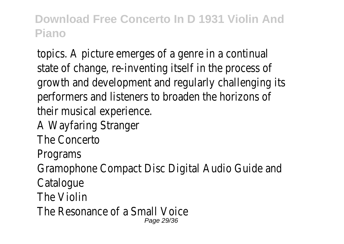topics. A picture emerges of a genre in a continual state of change, re-inventing itself in the process of growth and development and regularly challenging its performers and listeners to broaden the horizons of their musical experience.

- A Wayfaring Stranger
- The Concerto
- Programs

Gramophone Compact Disc Digital Audio Guide and

- **Catalogue**
- The Violin
- The Resonance of a Small Voice Page 29/36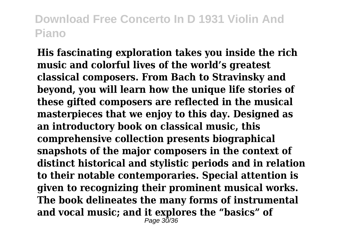**His fascinating exploration takes you inside the rich music and colorful lives of the world's greatest classical composers. From Bach to Stravinsky and beyond, you will learn how the unique life stories of these gifted composers are reflected in the musical masterpieces that we enjoy to this day. Designed as an introductory book on classical music, this comprehensive collection presents biographical snapshots of the major composers in the context of distinct historical and stylistic periods and in relation to their notable contemporaries. Special attention is given to recognizing their prominent musical works. The book delineates the many forms of instrumental and vocal music; and it explores the "basics" of** Page 30/36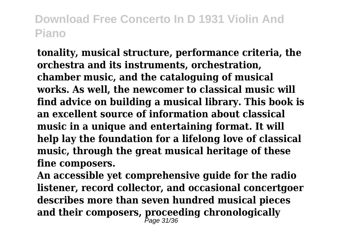**tonality, musical structure, performance criteria, the orchestra and its instruments, orchestration, chamber music, and the cataloguing of musical works. As well, the newcomer to classical music will find advice on building a musical library. This book is an excellent source of information about classical music in a unique and entertaining format. It will help lay the foundation for a lifelong love of classical music, through the great musical heritage of these fine composers.**

**An accessible yet comprehensive guide for the radio listener, record collector, and occasional concertgoer describes more than seven hundred musical pieces and their composers, proceeding chronologically** Page 31/36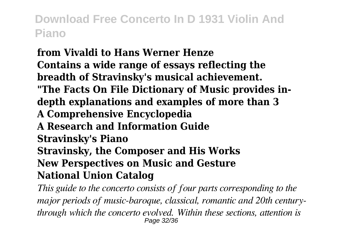#### **from Vivaldi to Hans Werner Henze Contains a wide range of essays reflecting the breadth of Stravinsky's musical achievement. "The Facts On File Dictionary of Music provides indepth explanations and examples of more than 3 A Comprehensive Encyclopedia A Research and Information Guide Stravinsky's Piano Stravinsky, the Composer and His Works New Perspectives on Music and Gesture National Union Catalog**

*This guide to the concerto consists of four parts corresponding to the major periods of music-baroque, classical, romantic and 20th centurythrough which the concerto evolved. Within these sections, attention is* Page 32/36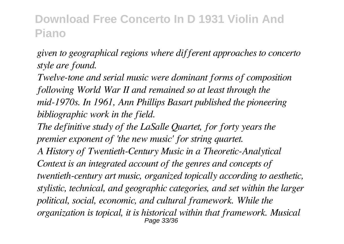*given to geographical regions where different approaches to concerto style are found.*

*Twelve-tone and serial music were dominant forms of composition following World War II and remained so at least through the mid-1970s. In 1961, Ann Phillips Basart published the pioneering bibliographic work in the field.*

*The definitive study of the LaSalle Quartet, for forty years the premier exponent of 'the new music' for string quartet. A History of Twentieth-Century Music in a Theoretic-Analytical Context is an integrated account of the genres and concepts of twentieth-century art music, organized topically according to aesthetic, stylistic, technical, and geographic categories, and set within the larger political, social, economic, and cultural framework. While the organization is topical, it is historical within that framework. Musical* Page 33/36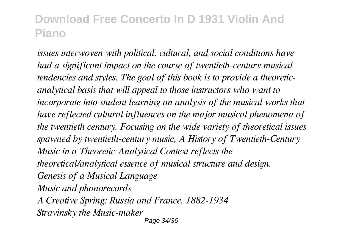*issues interwoven with political, cultural, and social conditions have had a significant impact on the course of twentieth-century musical tendencies and styles. The goal of this book is to provide a theoreticanalytical basis that will appeal to those instructors who want to incorporate into student learning an analysis of the musical works that have reflected cultural influences on the major musical phenomena of the twentieth century. Focusing on the wide variety of theoretical issues spawned by twentieth-century music, A History of Twentieth-Century Music in a Theoretic-Analytical Context reflects the theoretical/analytical essence of musical structure and design. Genesis of a Musical Language Music and phonorecords A Creative Spring: Russia and France, 1882-1934 Stravinsky the Music-maker* Page 34/36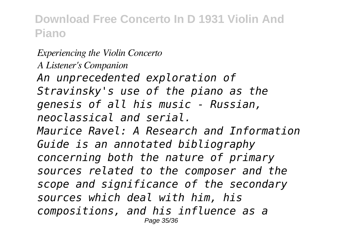*Experiencing the Violin Concerto A Listener's Companion An unprecedented exploration of Stravinsky's use of the piano as the genesis of all his music - Russian, neoclassical and serial. Maurice Ravel: A Research and Information Guide is an annotated bibliography concerning both the nature of primary sources related to the composer and the scope and significance of the secondary sources which deal with him, his compositions, and his influence as a* Page 35/36